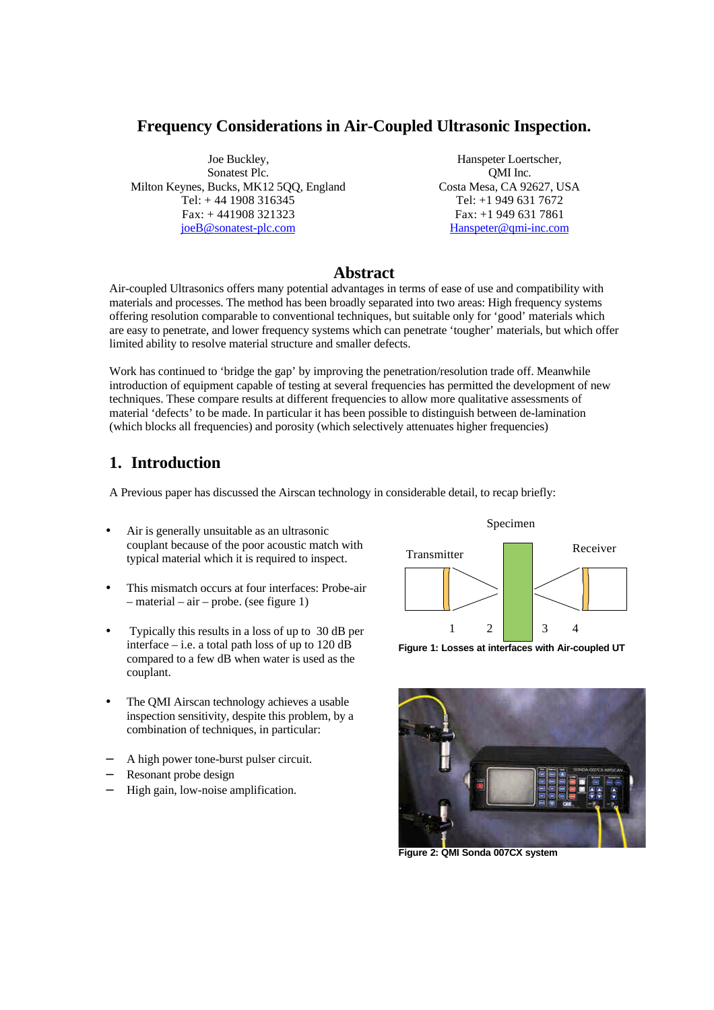### **Frequency Considerations in Air-Coupled Ultrasonic Inspection.**

Joe Buckley, Sonatest Plc. Milton Keynes, Bucks, MK12 5QQ, England Tel: + 44 1908 316345 Fax: + 441908 321323 joeB@sonatest-plc.com

Hanspeter Loertscher, QMI Inc. Costa Mesa, CA 92627, USA Tel: +1 949 631 7672 Fax: +1 949 631 7861 Hanspeter@qmi-inc.com

### **Abstract**

Air-coupled Ultrasonics offers many potential advantages in terms of ease of use and compatibility with materials and processes. The method has been broadly separated into two areas: High frequency systems offering resolution comparable to conventional techniques, but suitable only for 'good' materials which are easy to penetrate, and lower frequency systems which can penetrate 'tougher' materials, but which offer limited ability to resolve material structure and smaller defects.

Work has continued to 'bridge the gap' by improving the penetration/resolution trade off. Meanwhile introduction of equipment capable of testing at several frequencies has permitted the development of new techniques. These compare results at different frequencies to allow more qualitative assessments of material 'defects' to be made. In particular it has been possible to distinguish between de-lamination (which blocks all frequencies) and porosity (which selectively attenuates higher frequencies)

# **1. Introduction**

A Previous paper has discussed the Airscan technology in considerable detail, to recap briefly:

- Air is generally unsuitable as an ultrasonic couplant because of the poor acoustic match with typical material which it is required to inspect.
- This mismatch occurs at four interfaces: Probe-air – material – air – probe. (see figure 1)
- Typically this results in a loss of up to 30 dB per interface  $-$  i.e. a total path loss of up to 120 dB compared to a few dB when water is used as the couplant.
- The QMI Airscan technology achieves a usable inspection sensitivity, despite this problem, by a combination of techniques, in particular:
- − A high power tone-burst pulser circuit.
- Resonant probe design
- High gain, low-noise amplification.



Specimen

**Figure 1: Losses at interfaces with Air-coupled UT**



**Figure 2: QMI Sonda 007CX system**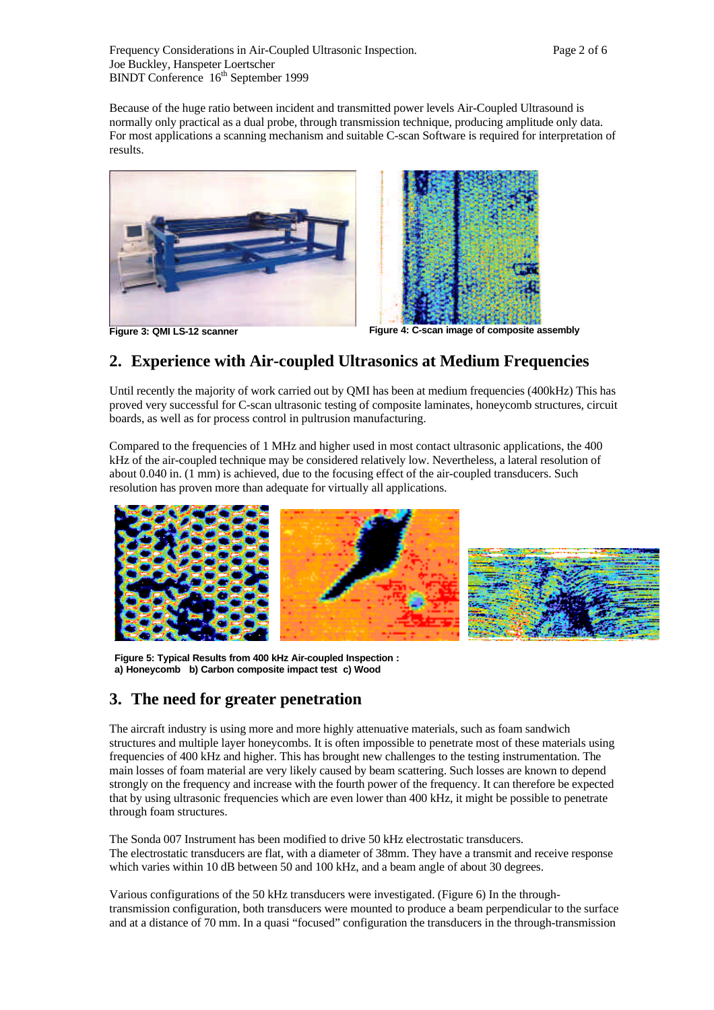Because of the huge ratio between incident and transmitted power levels Air-Coupled Ultrasound is normally only practical as a dual probe, through transmission technique, producing amplitude only data. For most applications a scanning mechanism and suitable C-scan Software is required for interpretation of results.



**Figure 3: QMI LS-12 scanner Figure 4: C-scan image of composite assembly**

# **2. Experience with Air-coupled Ultrasonics at Medium Frequencies**

Until recently the majority of work carried out by QMI has been at medium frequencies (400kHz) This has proved very successful for C-scan ultrasonic testing of composite laminates, honeycomb structures, circuit boards, as well as for process control in pultrusion manufacturing.

Compared to the frequencies of 1 MHz and higher used in most contact ultrasonic applications, the 400 kHz of the air-coupled technique may be considered relatively low. Nevertheless, a lateral resolution of about 0.040 in. (1 mm) is achieved, due to the focusing effect of the air-coupled transducers. Such resolution has proven more than adequate for virtually all applications.



**Figure 5: Typical Results from 400 kHz Air-coupled Inspection : a) Honeycomb b) Carbon composite impact test c) Wood**

## **3. The need for greater penetration**

The aircraft industry is using more and more highly attenuative materials, such as foam sandwich structures and multiple layer honeycombs. It is often impossible to penetrate most of these materials using frequencies of 400 kHz and higher. This has brought new challenges to the testing instrumentation. The main losses of foam material are very likely caused by beam scattering. Such losses are known to depend strongly on the frequency and increase with the fourth power of the frequency. It can therefore be expected that by using ultrasonic frequencies which are even lower than 400 kHz, it might be possible to penetrate through foam structures.

The Sonda 007 Instrument has been modified to drive 50 kHz electrostatic transducers. The electrostatic transducers are flat, with a diameter of 38mm. They have a transmit and receive response which varies within 10 dB between 50 and 100 kHz, and a beam angle of about 30 degrees.

Various configurations of the 50 kHz transducers were investigated. (Figure 6) In the throughtransmission configuration, both transducers were mounted to produce a beam perpendicular to the surface and at a distance of 70 mm. In a quasi "focused" configuration the transducers in the through-transmission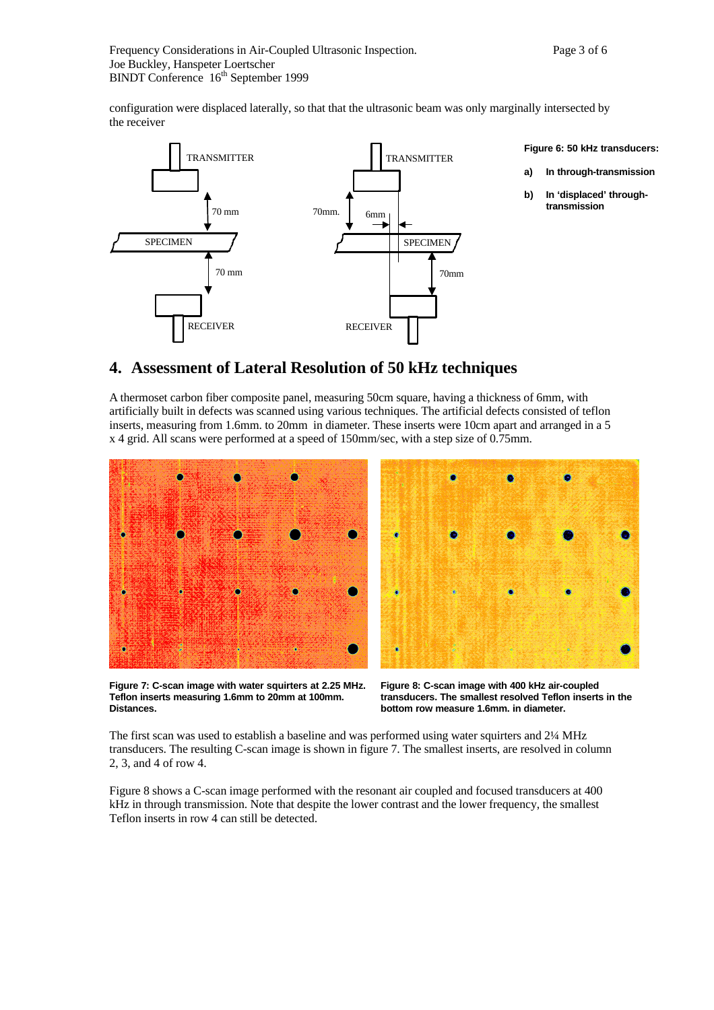configuration were displaced laterally, so that that the ultrasonic beam was only marginally intersected by the receiver



## **4. Assessment of Lateral Resolution of 50 kHz techniques**

A thermoset carbon fiber composite panel, measuring 50cm square, having a thickness of 6mm, with artificially built in defects was scanned using various techniques. The artificial defects consisted of teflon inserts, measuring from 1.6mm. to 20mm in diameter. These inserts were 10cm apart and arranged in a 5 x 4 grid. All scans were performed at a speed of 150mm/sec, with a step size of 0.75mm.



**Figure 7: C-scan image with water squirters at 2.25 MHz. Teflon inserts measuring 1.6mm to 20mm at 100mm. Distances.**

**Figure 8: C-scan image with 400 kHz air-coupled transducers. The smallest resolved Teflon inserts in the bottom row measure 1.6mm. in diameter.**

The first scan was used to establish a baseline and was performed using water squirters and 2¼ MHz transducers. The resulting C-scan image is shown in figure 7. The smallest inserts, are resolved in column 2, 3, and 4 of row 4.

Figure 8 shows a C-scan image performed with the resonant air coupled and focused transducers at 400 kHz in through transmission. Note that despite the lower contrast and the lower frequency, the smallest Teflon inserts in row 4 can still be detected.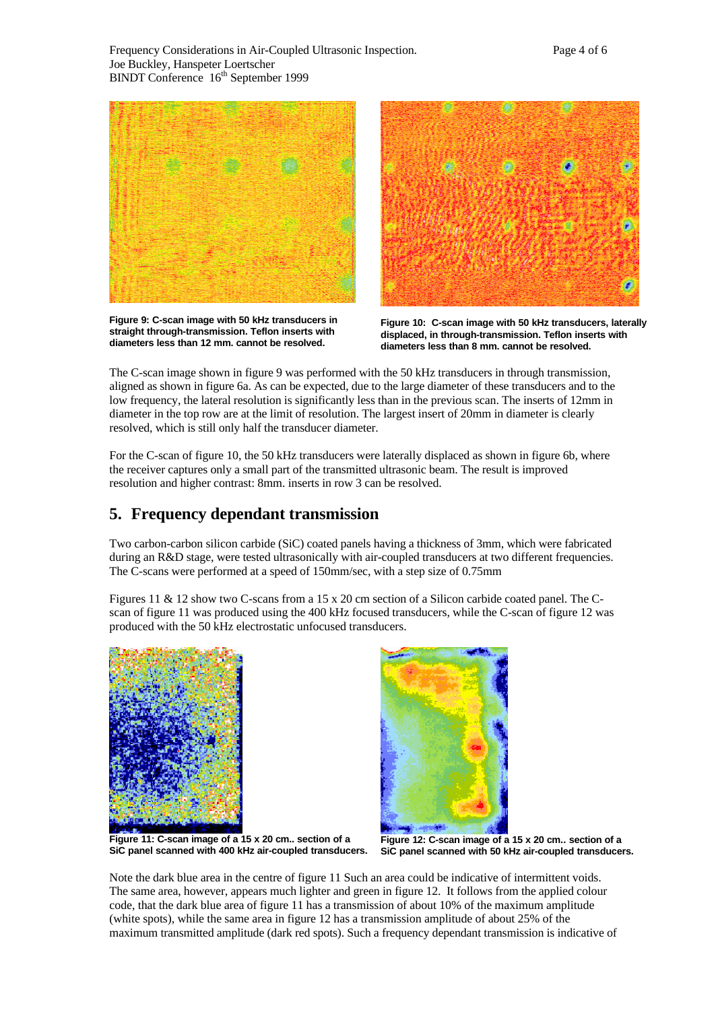

**Figure 9: C-scan image with 50 kHz transducers in straight through-transmission. Teflon inserts with diameters less than 12 mm. cannot be resolved.**



**Figure 10: C-scan image with 50 kHz transducers, laterally displaced, in through-transmission. Teflon inserts with diameters less than 8 mm. cannot be resolved.**

The C-scan image shown in figure 9 was performed with the 50 kHz transducers in through transmission, aligned as shown in figure 6a. As can be expected, due to the large diameter of these transducers and to the low frequency, the lateral resolution is significantly less than in the previous scan. The inserts of 12mm in diameter in the top row are at the limit of resolution. The largest insert of 20mm in diameter is clearly resolved, which is still only half the transducer diameter.

For the C-scan of figure 10, the 50 kHz transducers were laterally displaced as shown in figure 6b, where the receiver captures only a small part of the transmitted ultrasonic beam. The result is improved resolution and higher contrast: 8mm. inserts in row 3 can be resolved.

## **5. Frequency dependant transmission**

Two carbon-carbon silicon carbide (SiC) coated panels having a thickness of 3mm, which were fabricated during an R&D stage, were tested ultrasonically with air-coupled transducers at two different frequencies. The C-scans were performed at a speed of 150mm/sec, with a step size of 0.75mm

Figures 11 & 12 show two C-scans from a 15 x 20 cm section of a Silicon carbide coated panel. The Cscan of figure 11 was produced using the 400 kHz focused transducers, while the C-scan of figure 12 was produced with the 50 kHz electrostatic unfocused transducers.





**Figure 11: C-scan image of a 15 x 20 cm.. section of a SiC panel scanned with 400 kHz air-coupled transducers.**

**Figure 12: C-scan image of a 15 x 20 cm.. section of a SiC panel scanned with 50 kHz air-coupled transducers.**

Note the dark blue area in the centre of figure 11 Such an area could be indicative of intermittent voids. The same area, however, appears much lighter and green in figure 12. It follows from the applied colour code, that the dark blue area of figure 11 has a transmission of about 10% of the maximum amplitude (white spots), while the same area in figure 12 has a transmission amplitude of about 25% of the maximum transmitted amplitude (dark red spots). Such a frequency dependant transmission is indicative of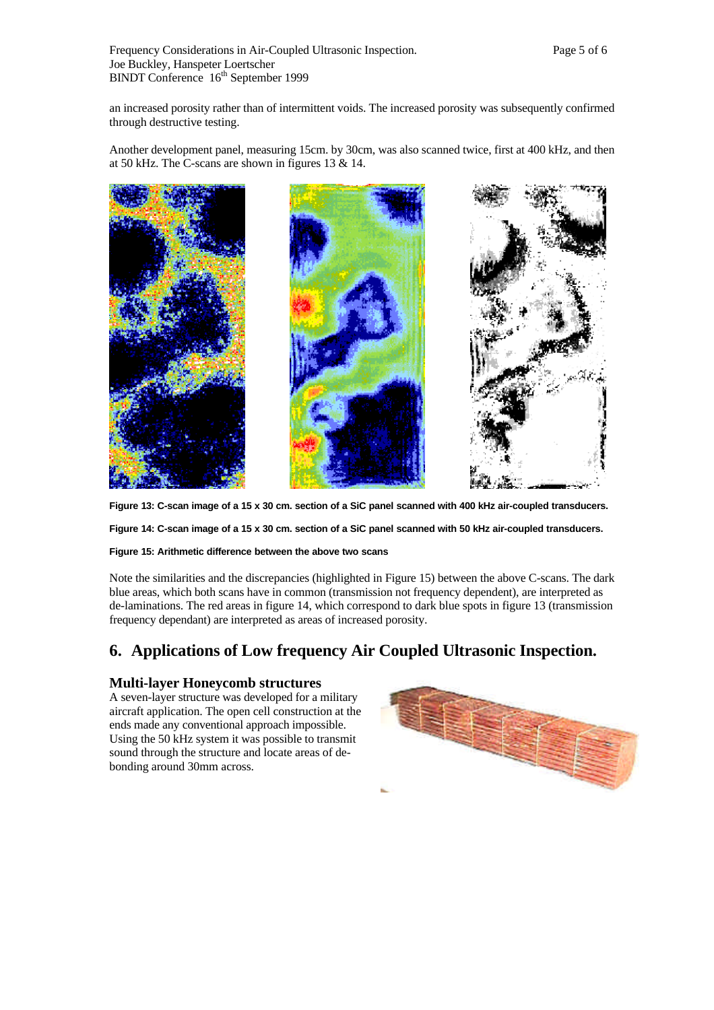an increased porosity rather than of intermittent voids. The increased porosity was subsequently confirmed through destructive testing.

Another development panel, measuring 15cm. by 30cm, was also scanned twice, first at 400 kHz, and then at 50 kHz. The C-scans are shown in figures 13 & 14.



**Figure 13: C-scan image of a 15 x 30 cm. section of a SiC panel scanned with 400 kHz air-coupled transducers.**

**Figure 14: C-scan image of a 15 x 30 cm. section of a SiC panel scanned with 50 kHz air-coupled transducers.**

#### **Figure 15: Arithmetic difference between the above two scans**

Note the similarities and the discrepancies (highlighted in Figure 15) between the above C-scans. The dark blue areas, which both scans have in common (transmission not frequency dependent), are interpreted as de-laminations. The red areas in figure 14, which correspond to dark blue spots in figure 13 (transmission frequency dependant) are interpreted as areas of increased porosity.

### **6. Applications of Low frequency Air Coupled Ultrasonic Inspection.**

### **Multi-layer Honeycomb structures**

A seven-layer structure was developed for a military aircraft application. The open cell construction at the ends made any conventional approach impossible. Using the 50 kHz system it was possible to transmit sound through the structure and locate areas of debonding around 30mm across.